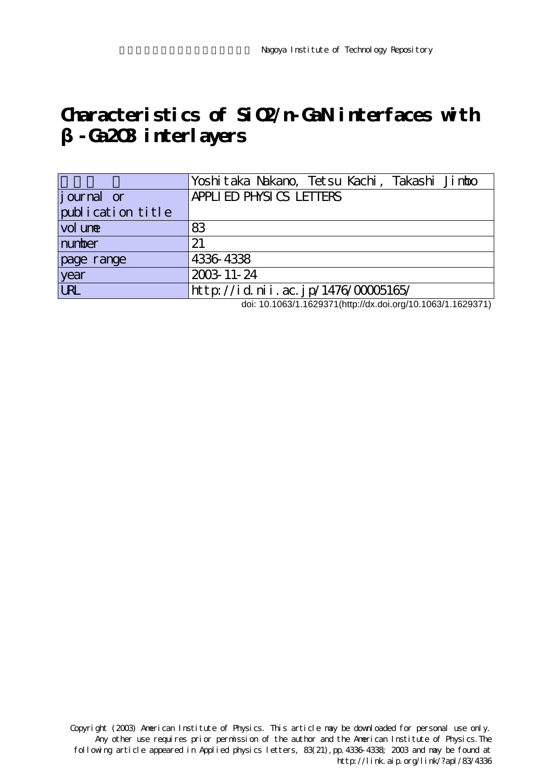## **Characteristics of SiO2/n-GaN interfaces with β-Ga2O3 interlayers**

|                    | Yoshitaka Nakano, Tetsu Kachi, Takashi Jimbo |
|--------------------|----------------------------------------------|
| <i>j</i> ournal or | APPLIED PHYSICS LETTERS                      |
| publication title  |                                              |
| vol une            | 83                                           |
| number             | 21                                           |
| page range         | 4336 4338                                    |
| year               | 2003-11-24                                   |
| URL                | http://id.nii.ac.jp/1476/00005165/           |

doi: 10.1063/1.1629371(http://dx.doi.org/10.1063/1.1629371)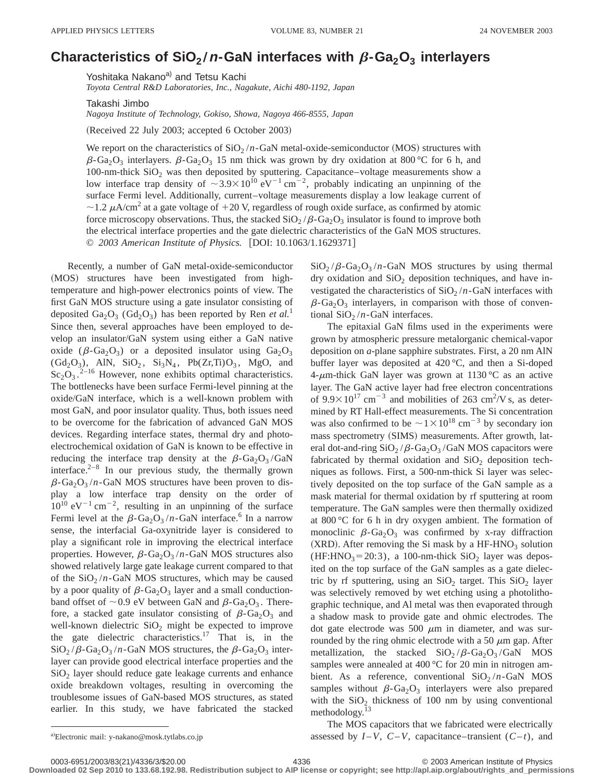## **Characteristics of SiO<sub>2</sub>/n-GaN interfaces with**  $\beta$ **-Ga<sub>2</sub>O<sub>3</sub> interlayers**

Yoshitaka Nakano<sup>a)</sup> and Tetsu Kachi

*Toyota Central R&D Laboratories, Inc., Nagakute, Aichi 480-1192, Japan*

Takashi Jimbo

*Nagoya Institute of Technology, Gokiso, Showa, Nagoya 466-8555, Japan*

(Received 22 July 2003; accepted 6 October 2003)

We report on the characteristics of  $SiO_2/n$ -GaN metal-oxide-semiconductor (MOS) structures with  $\beta$ -Ga<sub>2</sub>O<sub>3</sub> interlayers.  $\beta$ -Ga<sub>2</sub>O<sub>3</sub> 15 nm thick was grown by dry oxidation at 800 °C for 6 h, and 100-nm-thick  $SiO<sub>2</sub>$  was then deposited by sputtering. Capacitance–voltage measurements show a low interface trap density of  $\sim$ 3.9 $\times10^{10}$  eV<sup>-1</sup> cm<sup>-2</sup>, probably indicating an unpinning of the surface Fermi level. Additionally, current–voltage measurements display a low leakage current of  $\sim$  1.2  $\mu$ A/cm<sup>2</sup> at a gate voltage of +20 V, regardless of rough oxide surface, as confirmed by atomic force microscopy observations. Thus, the stacked  $SiO_2/\beta$ -Ga<sub>2</sub>O<sub>3</sub> insulator is found to improve both the electrical interface properties and the gate dielectric characteristics of the GaN MOS structures. © 2003 American Institute of Physics. [DOI: 10.1063/1.1629371]

Recently, a number of GaN metal-oxide-semiconductor (MOS) structures have been investigated from hightemperature and high-power electronics points of view. The first GaN MOS structure using a gate insulator consisting of deposited Ga<sub>2</sub>O<sub>3</sub> (Gd<sub>2</sub>O<sub>3</sub>) has been reported by Ren *et al.*<sup>1</sup> Since then, several approaches have been employed to develop an insulator/GaN system using either a GaN native oxide ( $\beta$ -Ga<sub>2</sub>O<sub>3</sub>) or a deposited insulator using Ga<sub>2</sub>O<sub>3</sub>  $(\text{Gd}_2\text{O}_3)$ , AlN,  $\text{SiO}_2$ ,  $\text{Si}_3\text{N}_4$ ,  $\text{Pb}(\text{Zr},\text{Ti})\text{O}_3$ , MgO, and  $Sc_2O_3$ .<sup>2-16</sup> However, none exhibits optimal characteristics. The bottlenecks have been surface Fermi-level pinning at the oxide/GaN interface, which is a well-known problem with most GaN, and poor insulator quality. Thus, both issues need to be overcome for the fabrication of advanced GaN MOS devices. Regarding interface states, thermal dry and photoelectrochemical oxidation of GaN is known to be effective in reducing the interface trap density at the  $\beta$ -Ga<sub>2</sub>O<sub>3</sub>/GaN interface. $2^{-8}$  In our previous study, the thermally grown  $\beta$ -Ga<sub>2</sub>O<sub>3</sub> /*n*-GaN MOS structures have been proven to display a low interface trap density on the order of  $10^{10}$  eV<sup>-1</sup> cm<sup>-2</sup>, resulting in an unpinning of the surface Fermi level at the  $\beta$ -Ga<sub>2</sub>O<sub>3</sub>/n-GaN interface.<sup>6</sup> In a narrow sense, the interfacial Ga-oxynitride layer is considered to play a significant role in improving the electrical interface properties. However,  $\beta$ -Ga<sub>2</sub>O<sub>3</sub>/n-GaN MOS structures also showed relatively large gate leakage current compared to that of the  $SiO_2/n$ -GaN MOS structures, which may be caused by a poor quality of  $\beta$ -Ga<sub>2</sub>O<sub>3</sub> layer and a small conductionband offset of  $\sim$  0.9 eV between GaN and  $\beta$ -Ga<sub>2</sub>O<sub>3</sub>. Therefore, a stacked gate insulator consisting of  $\beta$ -Ga<sub>2</sub>O<sub>3</sub> and well-known dielectric  $SiO<sub>2</sub>$  might be expected to improve the gate dielectric characteristics.<sup>17</sup> That is, in the  $\text{SiO}_2/\beta$ -Ga<sub>2</sub>O<sub>3</sub> /*n*-GaN MOS structures, the  $\beta$ -Ga<sub>2</sub>O<sub>3</sub> interlayer can provide good electrical interface properties and the  $SiO<sub>2</sub>$  layer should reduce gate leakage currents and enhance oxide breakdown voltages, resulting in overcoming the troublesome issues of GaN-based MOS structures, as stated earlier. In this study, we have fabricated the stacked

 $SiO_2/\beta$ -Ga<sub>2</sub>O<sub>3</sub>/*n*-GaN MOS structures by using thermal dry oxidation and  $SiO<sub>2</sub>$  deposition techniques, and have investigated the characteristics of  $SiO<sub>2</sub>/n-GaN$  interfaces with  $\beta$ -Ga<sub>2</sub>O<sub>3</sub> interlayers, in comparison with those of conventional  $SiO_2/n$ -GaN interfaces.

The epitaxial GaN films used in the experiments were grown by atmospheric pressure metalorganic chemical-vapor deposition on *a*-plane sapphire substrates. First, a 20 nm AlN buffer layer was deposited at 420 °C, and then a Si-doped 4- $\mu$ m-thick GaN layer was grown at 1130 °C as an active layer. The GaN active layer had free electron concentrations of  $9.9 \times 10^{17}$  cm<sup>-3</sup> and mobilities of 263 cm<sup>2</sup>/V s, as determined by RT Hall-effect measurements. The Si concentration was also confirmed to be  $\sim$  1  $\times$  10<sup>18</sup> cm<sup>-3</sup> by secondary ion mass spectrometry (SIMS) measurements. After growth, lateral dot-and-ring  $SiO_2/\beta$ -Ga<sub>2</sub>O<sub>3</sub>/GaN MOS capacitors were fabricated by thermal oxidation and  $SiO<sub>2</sub>$  deposition techniques as follows. First, a 500-nm-thick Si layer was selectively deposited on the top surface of the GaN sample as a mask material for thermal oxidation by rf sputtering at room temperature. The GaN samples were then thermally oxidized at 800 °C for 6 h in dry oxygen ambient. The formation of monoclinic  $\beta$ -Ga<sub>2</sub>O<sub>3</sub> was confirmed by x-ray diffraction (XRD). After removing the Si mask by a HF-HNO<sub>3</sub> solution  $(HF: HNO<sub>3</sub>=20:3)$ , a 100-nm-thick  $SiO<sub>2</sub>$  layer was deposited on the top surface of the GaN samples as a gate dielectric by rf sputtering, using an  $SiO<sub>2</sub>$  target. This  $SiO<sub>2</sub>$  layer was selectively removed by wet etching using a photolithographic technique, and Al metal was then evaporated through a shadow mask to provide gate and ohmic electrodes. The dot gate electrode was 500  $\mu$ m in diameter, and was surrounded by the ring ohmic electrode with a 50  $\mu$ m gap. After metallization, the stacked  $SiO_2/\beta$ -Ga<sub>2</sub>O<sub>3</sub>/GaN MOS samples were annealed at 400 °C for 20 min in nitrogen ambient. As a reference, conventional  $SiO<sub>2</sub>/n-GaN$  MOS samples without  $\beta$ -Ga<sub>2</sub>O<sub>3</sub> interlayers were also prepared with the  $SiO<sub>2</sub>$  thickness of 100 nm by using conventional methodology.<sup>13</sup>

The MOS capacitors that we fabricated were electrically assessed by  $I-V$ ,  $C-V$ , capacitance–transient  $(C-t)$ , and

**Downloaded 02 Sep 2010 to 133.68.192.98. Redistribution subject to AIP license or copyright; see http://apl.aip.org/about/rights\_and\_permissions**

a)Electronic mail: y-nakano@mosk.tytlabs.co.jp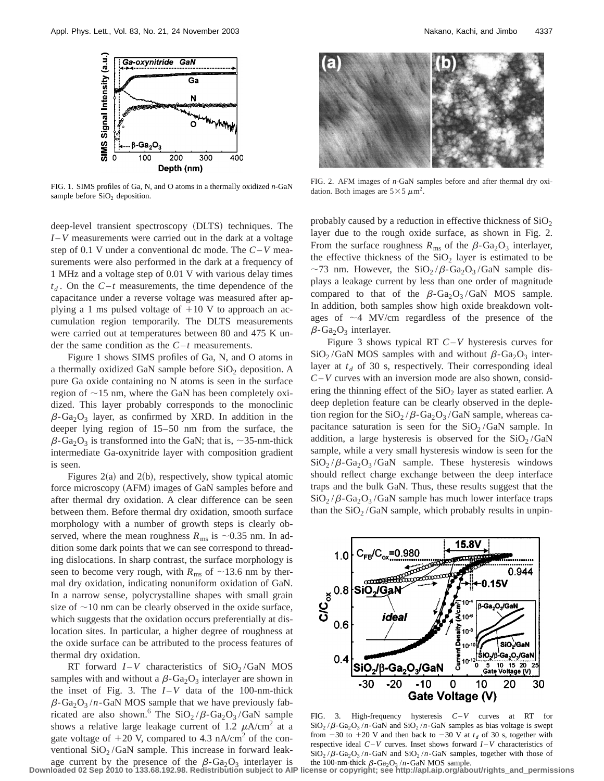

FIG. 1. SIMS profiles of Ga, N, and O atoms in a thermally oxidized *n*-GaN sample before  $SiO<sub>2</sub>$  deposition.

deep-level transient spectroscopy (DLTS) techniques. The *I* –*V* measurements were carried out in the dark at a voltage step of 0.1 V under a conventional dc mode. The *C*–*V* measurements were also performed in the dark at a frequency of 1 MHz and a voltage step of 0.01 V with various delay times  $t_d$ . On the  $C-t$  measurements, the time dependence of the capacitance under a reverse voltage was measured after applying a 1 ms pulsed voltage of  $+10$  V to approach an accumulation region temporarily. The DLTS measurements were carried out at temperatures between 80 and 475 K under the same condition as the  $C-t$  measurements.

Figure 1 shows SIMS profiles of Ga, N, and O atoms in a thermally oxidized GaN sample before  $SiO<sub>2</sub>$  deposition. A pure Ga oxide containing no N atoms is seen in the surface region of  $\sim$ 15 nm, where the GaN has been completely oxidized. This layer probably corresponds to the monoclinic  $\beta$ -Ga<sub>2</sub>O<sub>3</sub> layer, as confirmed by XRD. In addition in the deeper lying region of 15–50 nm from the surface, the  $\beta$ -Ga<sub>2</sub>O<sub>3</sub> is transformed into the GaN; that is, ~35-nm-thick intermediate Ga-oxynitride layer with composition gradient is seen.

Figures  $2(a)$  and  $2(b)$ , respectively, show typical atomic force microscopy (AFM) images of GaN samples before and after thermal dry oxidation. A clear difference can be seen between them. Before thermal dry oxidation, smooth surface morphology with a number of growth steps is clearly observed, where the mean roughness  $R_{\text{ms}}$  is  $\sim 0.35$  nm. In addition some dark points that we can see correspond to threading dislocations. In sharp contrast, the surface morphology is seen to become very rough, with  $R_{\text{ms}}$  of  $\sim$ 13.6 nm by thermal dry oxidation, indicating nonuniform oxidation of GaN. In a narrow sense, polycrystalline shapes with small grain size of  $\sim$ 10 nm can be clearly observed in the oxide surface, which suggests that the oxidation occurs preferentially at dislocation sites. In particular, a higher degree of roughness at the oxide surface can be attributed to the process features of thermal dry oxidation.

RT forward  $I - V$  characteristics of  $SiO<sub>2</sub>/GaN$  MOS samples with and without a  $\beta$ -Ga<sub>2</sub>O<sub>3</sub> interlayer are shown in the inset of Fig. 3. The  $I - V$  data of the 100-nm-thick  $\beta$ -Ga<sub>2</sub>O<sub>3</sub> /*n*-GaN MOS sample that we have previously fabricated are also shown.<sup>6</sup> The  $SiO_2/\beta$ -Ga<sub>2</sub>O<sub>3</sub>/GaN sample shows a relative large leakage current of 1.2  $\mu$ A/cm<sup>2</sup> at a gate voltage of  $+20$  V, compared to 4.3 nA/cm<sup>2</sup> of the conventional  $SiO<sub>2</sub>/GaN$  sample. This increase in forward leakage current by the presence of the  $\beta$ -Ga<sub>2</sub>O<sub>3</sub> interlayer is



FIG. 2. AFM images of *n*-GaN samples before and after thermal dry oxidation. Both images are  $5 \times 5 \mu m^2$ .

probably caused by a reduction in effective thickness of  $SiO<sub>2</sub>$ layer due to the rough oxide surface, as shown in Fig. 2. From the surface roughness  $R_{\text{ms}}$  of the  $\beta$ -Ga<sub>2</sub>O<sub>3</sub> interlayer, the effective thickness of the  $SiO<sub>2</sub>$  layer is estimated to be ~73 nm. However, the  $SiO_2/\beta$ -Ga<sub>2</sub>O<sub>3</sub>/GaN sample displays a leakage current by less than one order of magnitude compared to that of the  $\beta$ -Ga<sub>2</sub>O<sub>3</sub>/GaN MOS sample. In addition, both samples show high oxide breakdown voltages of  $\sim$ 4 MV/cm regardless of the presence of the  $\beta$ -Ga<sub>2</sub>O<sub>3</sub> interlayer.

Figure 3 shows typical RT *C*–*V* hysteresis curves for  $SiO_2/GaN$  MOS samples with and without  $\beta$ -Ga<sub>2</sub>O<sub>3</sub> interlayer at  $t_d$  of 30 s, respectively. Their corresponding ideal *C*–*V* curves with an inversion mode are also shown, considering the thinning effect of the  $SiO<sub>2</sub>$  layer as stated earlier. A deep depletion feature can be clearly observed in the depletion region for the  $SiO_2/\beta$ -Ga<sub>2</sub>O<sub>3</sub>/GaN sample, whereas capacitance saturation is seen for the  $SiO<sub>2</sub>/GaN$  sample. In addition, a large hysteresis is observed for the  $SiO<sub>2</sub>/GaN$ sample, while a very small hysteresis window is seen for the  $SiO_2/\beta$ -Ga<sub>2</sub>O<sub>3</sub>/GaN sample. These hysteresis windows should reflect charge exchange between the deep interface traps and the bulk GaN. Thus, these results suggest that the  $SiO_2/\beta$ -Ga<sub>2</sub>O<sub>3</sub>/GaN sample has much lower interface traps than the  $SiO<sub>2</sub> / GaN$  sample, which probably results in unpin-



FIG. 3. High-frequency hysteresis *C*–*V* curves at RT for  $\text{SiO}_2/\beta-\text{Ga}_2\text{O}_3/n-\text{Ga}N$  and  $\text{SiO}_2/n-\text{Ga}N$  samples as bias voltage is swept from  $-30$  to  $+20$  V and then back to  $-30$  V at  $t<sub>d</sub>$  of 30 s, together with respective ideal *C*–*V* curves. Inset shows forward *I* –*V* characteristics of  $\text{SiO}_2/\beta-\text{Ga}_2\text{O}_3/n-\text{Ga}$  and  $\text{SiO}_2/n-\text{Ga}$  samples, together with those of the 100-nm-thick  $\beta$ -Ga<sub>2</sub>O<sub>3</sub>/n-GaN MOS sample.

**Downloaded 02 Sep 2010 to 133.68.192.98. Redistribution subject to AIP license or copyright; see http://apl.aip.org/about/rights\_and\_permissions**